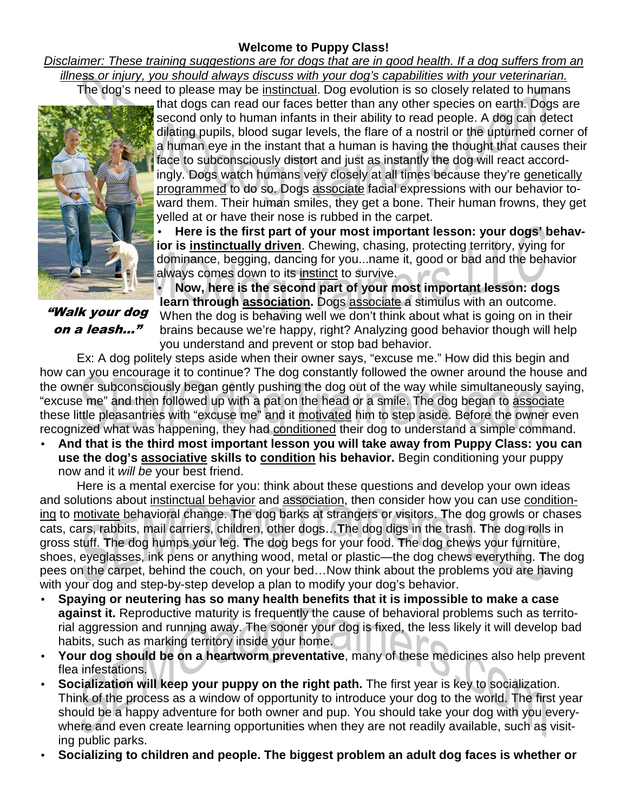## **Welcome to Puppy Class!**

Disclaimer: These training suggestions are for dogs that are in good health. If a dog suffers from an illness or injury, you should always discuss with your dog's capabilities with your veterinarian. The dog's need to please may be instinctual. Dog evolution is so closely related to humans



"Walk your dog on a leash…"

that dogs can read our faces better than any other species on earth. Dogs are second only to human infants in their ability to read people. A dog can detect dilating pupils, blood sugar levels, the flare of a nostril or the upturned corner of a human eye in the instant that a human is having the thought that causes their face to subconsciously distort and just as instantly the dog will react accordingly. Dogs watch humans very closely at all times because they're genetically programmed to do so. Dogs associate facial expressions with our behavior toward them. Their human smiles, they get a bone. Their human frowns, they get yelled at or have their nose is rubbed in the carpet.

• **Here is the first part of your most important lesson: your dogs' behavior is instinctually driven**. Chewing, chasing, protecting territory, vying for dominance, begging, dancing for you...name it, good or bad and the behavior always comes down to its instinct to survive.

• **Now, here is the second part of your most important lesson: dogs learn through association.** Dogs associate a stimulus with an outcome. When the dog is behaving well we don't think about what is going on in their brains because we're happy, right? Analyzing good behavior though will help you understand and prevent or stop bad behavior.

 Ex: A dog politely steps aside when their owner says, "excuse me." How did this begin and how can you encourage it to continue? The dog constantly followed the owner around the house and the owner subconsciously began gently pushing the dog out of the way while simultaneously saying, "excuse me" and then followed up with a pat on the head or a smile. The dog began to associate these little pleasantries with "excuse me" and it motivated him to step aside. Before the owner even recognized what was happening, they had conditioned their dog to understand a simple command.

• **And that is the third most important lesson you will take away from Puppy Class: you can use the dog's associative skills to condition his behavior.** Begin conditioning your puppy now and it will be your best friend.

 Here is a mental exercise for you: think about these questions and develop your own ideas and solutions about instinctual behavior and association, then consider how you can use conditioning to motivate behavioral change. **T**he dog barks at strangers or visitors. **T**he dog growls or chases cats, cars, rabbits, mail carriers, children, other dogs…**T**he dog digs in the trash. **T**he dog rolls in gross stuff. **T**he dog humps your leg. **T**he dog begs for your food. **T**he dog chews your furniture, shoes, eyeglasses, ink pens or anything wood, metal or plastic—the dog chews everything. **T**he dog pees on the carpet, behind the couch, on your bed…Now think about the problems you are having with your dog and step-by-step develop a plan to modify your dog's behavior.

- **Spaying or neutering has so many health benefits that it is impossible to make a case against it.** Reproductive maturity is frequently the cause of behavioral problems such as territorial aggression and running away. The sooner your dog is fixed, the less likely it will develop bad habits, such as marking territory inside your home.
- **Your dog should be on a heartworm preventative**, many of these medicines also help prevent flea infestations.
- **Socialization will keep your puppy on the right path.** The first year is key to socialization. Think of the process as a window of opportunity to introduce your dog to the world. The first year should be a happy adventure for both owner and pup. You should take your dog with you everywhere and even create learning opportunities when they are not readily available, such as visiting public parks.
- **Socializing to children and people. The biggest problem an adult dog faces is whether or**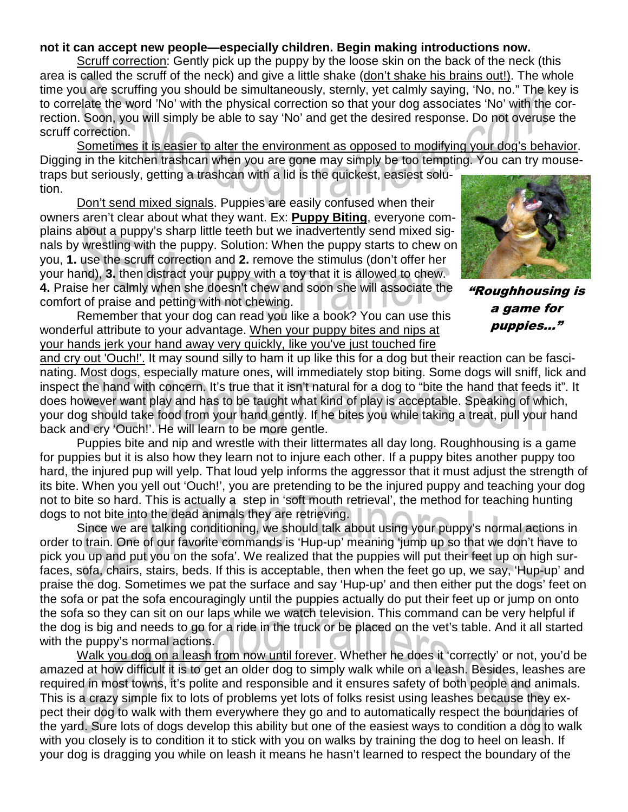## **not it can accept new people—especially children. Begin making introductions now.**

Scruff correction: Gently pick up the puppy by the loose skin on the back of the neck (this area is called the scruff of the neck) and give a little shake (don't shake his brains out!). The whole time you are scruffing you should be simultaneously, sternly, yet calmly saying, 'No, no." The key is to correlate the word 'No' with the physical correction so that your dog associates 'No' with the correction. Soon, you will simply be able to say 'No' and get the desired response. Do not overuse the scruff correction.

 Sometimes it is easier to alter the environment as opposed to modifying your dog's behavior. Digging in the kitchen trashcan when you are gone may simply be too tempting. You can try mousetraps but seriously, getting a trashcan with a lid is the quickest, easiest solution.

Don't send mixed signals. Puppies are easily confused when their owners aren't clear about what they want. Ex: **Puppy Biting**, everyone complains about a puppy's sharp little teeth but we inadvertently send mixed signals by wrestling with the puppy. Solution: When the puppy starts to chew on you, **1.** use the scruff correction and **2.** remove the stimulus (don't offer her your hand), **3.** then distract your puppy with a toy that it is allowed to chew. **4.** Praise her calmly when she doesn't chew and soon she will associate the comfort of praise and petting with not chewing.

 Remember that your dog can read you like a book? You can use this wonderful attribute to your advantage. When your puppy bites and nips at your hands jerk your hand away very quickly, like you've just touched fire

"Roughhousing is a game for puppies..."

and cry out 'Ouch!'. It may sound silly to ham it up like this for a dog but their reaction can be fascinating. Most dogs, especially mature ones, will immediately stop biting. Some dogs will sniff, lick and inspect the hand with concern. It's true that it isn't natural for a dog to "bite the hand that feeds it". It does however want play and has to be taught what kind of play is acceptable. Speaking of which, your dog should take food from your hand gently. If he bites you while taking a treat, pull your hand back and cry 'Ouch!'. He will learn to be more gentle.

 Puppies bite and nip and wrestle with their littermates all day long. Roughhousing is a game for puppies but it is also how they learn not to injure each other. If a puppy bites another puppy too hard, the injured pup will yelp. That loud yelp informs the aggressor that it must adjust the strength of its bite. When you yell out 'Ouch!', you are pretending to be the injured puppy and teaching your dog not to bite so hard. This is actually a step in 'soft mouth retrieval', the method for teaching hunting dogs to not bite into the dead animals they are retrieving.

 Since we are talking conditioning, we should talk about using your puppy's normal actions in order to train. One of our favorite commands is 'Hup-up' meaning 'jump up so that we don't have to pick you up and put you on the sofa'. We realized that the puppies will put their feet up on high surfaces, sofa, chairs, stairs, beds. If this is acceptable, then when the feet go up, we say, 'Hup-up' and praise the dog. Sometimes we pat the surface and say 'Hup-up' and then either put the dogs' feet on the sofa or pat the sofa encouragingly until the puppies actually do put their feet up or jump on onto the sofa so they can sit on our laps while we watch television. This command can be very helpful if the dog is big and needs to go for a ride in the truck or be placed on the vet's table. And it all started with the puppy's normal actions.

 Walk you dog on a leash from now until forever. Whether he does it 'correctly' or not, you'd be amazed at how difficult it is to get an older dog to simply walk while on a leash. Besides, leashes are required in most towns, it's polite and responsible and it ensures safety of both people and animals. This is a crazy simple fix to lots of problems yet lots of folks resist using leashes because they expect their dog to walk with them everywhere they go and to automatically respect the boundaries of the yard. Sure lots of dogs develop this ability but one of the easiest ways to condition a dog to walk with you closely is to condition it to stick with you on walks by training the dog to heel on leash. If your dog is dragging you while on leash it means he hasn't learned to respect the boundary of the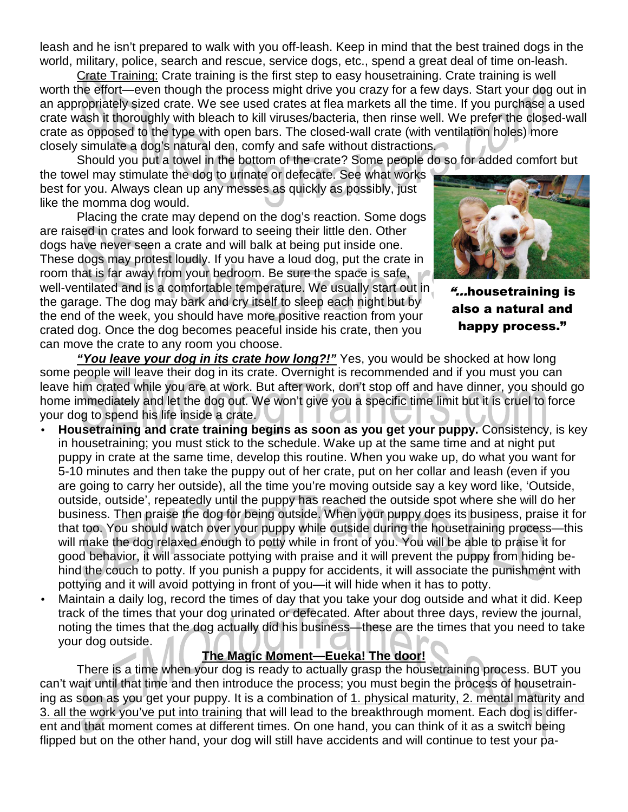leash and he isn't prepared to walk with you off-leash. Keep in mind that the best trained dogs in the world, military, police, search and rescue, service dogs, etc., spend a great deal of time on-leash.

 Crate Training: Crate training is the first step to easy housetraining. Crate training is well worth the effort—even though the process might drive you crazy for a few days. Start your dog out in an appropriately sized crate. We see used crates at flea markets all the time. If you purchase a used crate wash it thoroughly with bleach to kill viruses/bacteria, then rinse well. We prefer the closed-wall crate as opposed to the type with open bars. The closed-wall crate (with ventilation holes) more closely simulate a dog's natural den, comfy and safe without distractions.

Should you put a towel in the bottom of the crate? Some people do so for added comfort but

the towel may stimulate the dog to urinate or defecate. See what works best for you. Always clean up any messes as quickly as possibly, just like the momma dog would.

 Placing the crate may depend on the dog's reaction. Some dogs are raised in crates and look forward to seeing their little den. Other dogs have never seen a crate and will balk at being put inside one. These dogs may protest loudly. If you have a loud dog, put the crate in room that is far away from your bedroom. Be sure the space is safe, well-ventilated and is a comfortable temperature. We usually start out in the garage. The dog may bark and cry itself to sleep each night but by the end of the week, you should have more positive reaction from your crated dog. Once the dog becomes peaceful inside his crate, then you can move the crate to any room you choose.



"...housetraining is also a natural and happy process."

 **"You leave your dog in its crate how long?!"** Yes, you would be shocked at how long some people will leave their dog in its crate. Overnight is recommended and if you must you can leave him crated while you are at work. But after work, don't stop off and have dinner, you should go home immediately and let the dog out. We won't give you a specific time limit but it is cruel to force your dog to spend his life inside a crate.

- **Housetraining and crate training begins as soon as you get your puppy.** Consistency, is key in housetraining; you must stick to the schedule. Wake up at the same time and at night put puppy in crate at the same time, develop this routine. When you wake up, do what you want for 5-10 minutes and then take the puppy out of her crate, put on her collar and leash (even if you are going to carry her outside), all the time you're moving outside say a key word like, 'Outside, outside, outside', repeatedly until the puppy has reached the outside spot where she will do her business. Then praise the dog for being outside. When your puppy does its business, praise it for that too. You should watch over your puppy while outside during the housetraining process—this will make the dog relaxed enough to potty while in front of you. You will be able to praise it for good behavior, it will associate pottying with praise and it will prevent the puppy from hiding behind the couch to potty. If you punish a puppy for accidents, it will associate the punishment with pottying and it will avoid pottying in front of you—it will hide when it has to potty.
- Maintain a daily log, record the times of day that you take your dog outside and what it did. Keep track of the times that your dog urinated or defecated. After about three days, review the journal, noting the times that the dog actually did his business—these are the times that you need to take your dog outside.

## **The Magic Moment—Eueka! The door!**

 There is a time when your dog is ready to actually grasp the housetraining process. BUT you can't wait until that time and then introduce the process; you must begin the process of housetraining as soon as you get your puppy. It is a combination of 1. physical maturity, 2. mental maturity and 3. all the work you've put into training that will lead to the breakthrough moment. Each dog is different and that moment comes at different times. On one hand, you can think of it as a switch being flipped but on the other hand, your dog will still have accidents and will continue to test your pa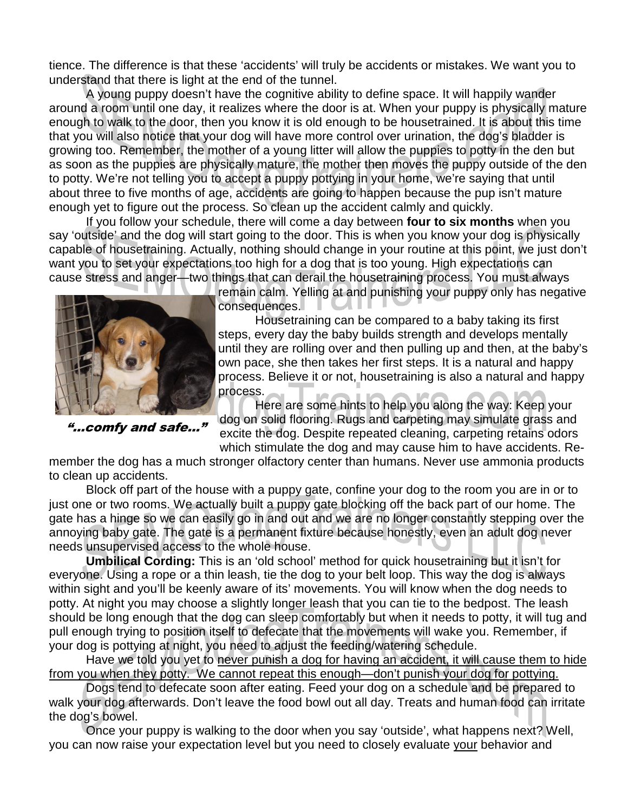tience. The difference is that these 'accidents' will truly be accidents or mistakes. We want you to understand that there is light at the end of the tunnel.

 A young puppy doesn't have the cognitive ability to define space. It will happily wander around a room until one day, it realizes where the door is at. When your puppy is physically mature enough to walk to the door, then you know it is old enough to be housetrained. It is about this time that you will also notice that your dog will have more control over urination, the dog's bladder is growing too. Remember, the mother of a young litter will allow the puppies to potty in the den but as soon as the puppies are physically mature, the mother then moves the puppy outside of the den to potty. We're not telling you to accept a puppy pottying in your home, we're saying that until about three to five months of age, accidents are going to happen because the pup isn't mature enough yet to figure out the process. So clean up the accident calmly and quickly.

 If you follow your schedule, there will come a day between **four to six months** when you say 'outside' and the dog will start going to the door. This is when you know your dog is physically capable of housetraining. Actually, nothing should change in your routine at this point, we just don't want you to set your expectations too high for a dog that is too young. High expectations can cause stress and anger—two things that can derail the housetraining process. You must always



"...comfy and safe..."

consequences.

 Housetraining can be compared to a baby taking its first steps, every day the baby builds strength and develops mentally until they are rolling over and then pulling up and then, at the baby's own pace, she then takes her first steps. It is a natural and happy process. Believe it or not, housetraining is also a natural and happy process.

 Here are some hints to help you along the way: Keep your dog on solid flooring. Rugs and carpeting may simulate grass and excite the dog. Despite repeated cleaning, carpeting retains odors which stimulate the dog and may cause him to have accidents. Re-

member the dog has a much stronger olfactory center than humans. Never use ammonia products to clean up accidents.

 Block off part of the house with a puppy gate, confine your dog to the room you are in or to just one or two rooms. We actually built a puppy gate blocking off the back part of our home. The gate has a hinge so we can easily go in and out and we are no longer constantly stepping over the annoying baby gate. The gate is a permanent fixture because honestly, even an adult dog never needs unsupervised access to the whole house.

 **Umbilical Cording:** This is an 'old school' method for quick housetraining but it isn't for everyone. Using a rope or a thin leash, tie the dog to your belt loop. This way the dog is always within sight and you'll be keenly aware of its' movements. You will know when the dog needs to potty. At night you may choose a slightly longer leash that you can tie to the bedpost. The leash should be long enough that the dog can sleep comfortably but when it needs to potty, it will tug and pull enough trying to position itself to defecate that the movements will wake you. Remember, if your dog is pottying at night, you need to adjust the feeding/watering schedule.

 Have we told you yet to never punish a dog for having an accident, it will cause them to hide from you when they potty. We cannot repeat this enough—don't punish your dog for pottying.

 Dogs tend to defecate soon after eating. Feed your dog on a schedule and be prepared to walk your dog afterwards. Don't leave the food bowl out all day. Treats and human food can irritate the dog's bowel.

 Once your puppy is walking to the door when you say 'outside', what happens next? Well, you can now raise your expectation level but you need to closely evaluate your behavior and